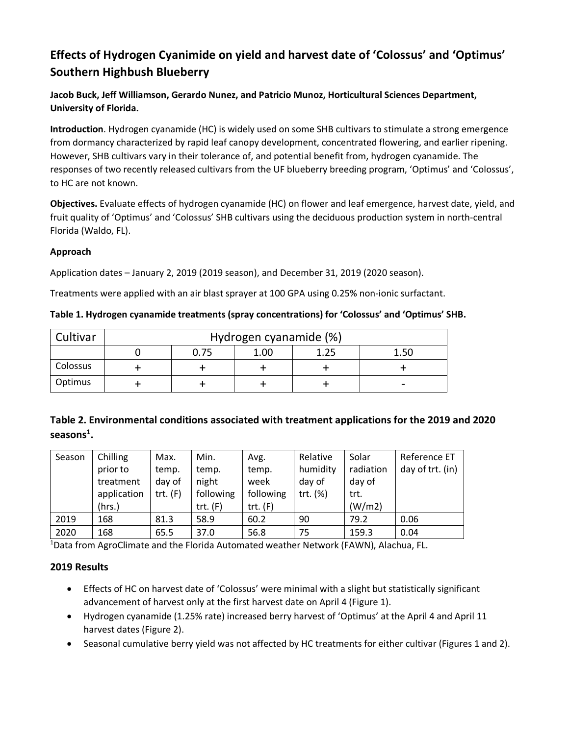## **Effects of Hydrogen Cyanimide on yield and harvest date of 'Colossus' and 'Optimus' Southern Highbush Blueberry**

**Jacob Buck, Jeff Williamson, Gerardo Nunez, and Patricio Munoz, Horticultural Sciences Department, University of Florida.** 

**Introduction**. Hydrogen cyanamide (HC) is widely used on some SHB cultivars to stimulate a strong emergence from dormancy characterized by rapid leaf canopy development, concentrated flowering, and earlier ripening. However, SHB cultivars vary in their tolerance of, and potential benefit from, hydrogen cyanamide. The responses of two recently released cultivars from the UF blueberry breeding program, 'Optimus' and 'Colossus', to HC are not known.

**Objectives.** Evaluate effects of hydrogen cyanamide (HC) on flower and leaf emergence, harvest date, yield, and fruit quality of 'Optimus' and 'Colossus' SHB cultivars using the deciduous production system in north-central Florida (Waldo, FL).

## **Approach**

Application dates – January 2, 2019 (2019 season), and December 31, 2019 (2020 season).

Treatments were applied with an air blast sprayer at 100 GPA using 0.25% non-ionic surfactant.

| Cultivar | Hydrogen cyanamide (%) |      |      |      |      |  |  |  |
|----------|------------------------|------|------|------|------|--|--|--|
|          |                        | 0.75 | 1.00 | 1.25 | 1.50 |  |  |  |
| Colossus |                        |      |      |      |      |  |  |  |
| Optimus  |                        |      |      |      | -    |  |  |  |

**Table 1. Hydrogen cyanamide treatments (spray concentrations) for 'Colossus' and 'Optimus' SHB.** 

## **Table 2. Environmental conditions associated with treatment applications for the 2019 and 2020 seasons1 .**

| Season | Chilling    | Max.       | Min.       | Avg.       | Relative | Solar     | Reference ET     |
|--------|-------------|------------|------------|------------|----------|-----------|------------------|
|        | prior to    | temp.      | temp.      | temp.      | humidity | radiation | day of trt. (in) |
|        | treatment   | day of     | night      | week       | day of   | day of    |                  |
|        | application | $trt.$ (F) | following  | following  | trt. (%) | trt.      |                  |
|        | (hrs.)      |            | $trt.$ (F) | trt. $(F)$ |          | (W/m2)    |                  |
| 2019   | 168         | 81.3       | 58.9       | 60.2       | 90       | 79.2      | 0.06             |
| 2020   | 168         | 65.5       | 37.0       | 56.8       | 75       | 159.3     | 0.04             |

<sup>1</sup>Data from AgroClimate and the Florida Automated weather Network (FAWN), Alachua, FL.

## **2019 Results**

- Effects of HC on harvest date of 'Colossus' were minimal with a slight but statistically significant advancement of harvest only at the first harvest date on April 4 (Figure 1).
- Hydrogen cyanamide (1.25% rate) increased berry harvest of 'Optimus' at the April 4 and April 11 harvest dates (Figure 2).
- Seasonal cumulative berry yield was not affected by HC treatments for either cultivar (Figures 1 and 2).